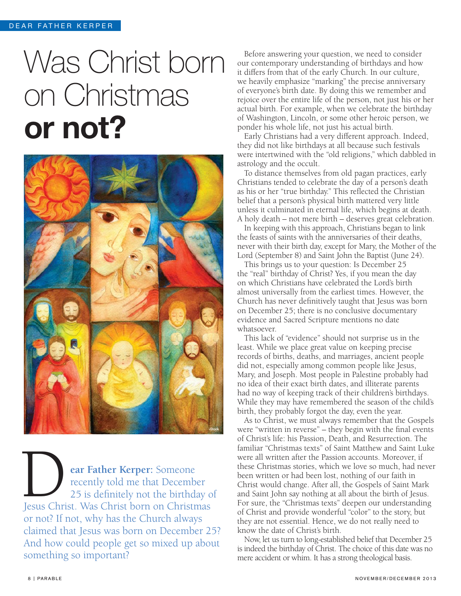## Was Christ born on Christmas or not?



**ear Father Kerper:** Someone recently told me that December 25 is definitely not the birthday of **Example 25**<br> **Example 25**<br> **Example 125**<br> **Example 125**<br> **Example 125**<br> **Example 125**<br> **Example 125**<br> **Example 125**<br> **Example 125**<br> **Example 125**<br> **Example 125**<br> **Example 125**<br> **Example 125**<br> **Example 125**<br> **Example 125**<br> or not? If not, why has the Church always claimed that Jesus was born on December 25? And how could people get so mixed up about something so important?

Before answering your question, we need to consider our contemporary understanding of birthdays and how it differs from that of the early Church. In our culture, we heavily emphasize "marking" the precise anniversary of everyone's birth date. By doing this we remember and rejoice over the entire life of the person, not just his or her actual birth. For example, when we celebrate the birthday of Washington, Lincoln, or some other heroic person, we ponder his whole life, not just his actual birth.

Early Christians had a very different approach. Indeed, they did not like birthdays at all because such festivals were intertwined with the "old religions," which dabbled in astrology and the occult.

To distance themselves from old pagan practices, early Christians tended to celebrate the day of a person's death as his or her "true birthday." This reflected the Christian belief that a person's physical birth mattered very little unless it culminated in eternal life, which begins at death. A holy death – not mere birth – deserves great celebration.

In keeping with this approach, Christians began to link the feasts of saints with the anniversaries of their deaths, never with their birth day, except for Mary, the Mother of the Lord (September 8) and Saint John the Baptist (June 24).

This brings us to your question: Is December 25 the "real" birthday of Christ? Yes, if you mean the day on which Christians have celebrated the Lord's birth almost universally from the earliest times. However, the Church has never definitively taught that Jesus was born on December 25; there is no conclusive documentary evidence and Sacred Scripture mentions no date whatsoever.

This lack of "evidence" should not surprise us in the least. While we place great value on keeping precise records of births, deaths, and marriages, ancient people did not, especially among common people like Jesus, Mary, and Joseph. Most people in Palestine probably had no idea of their exact birth dates, and illiterate parents had no way of keeping track of their children's birthdays. While they may have remembered the season of the child's birth, they probably forgot the day, even the year.

As to Christ, we must always remember that the Gospels were "written in reverse" – they begin with the final events of Christ's life: his Passion, Death, and Resurrection. The familiar "Christmas texts" of Saint Matthew and Saint Luke were all written after the Passion accounts. Moreover, if these Christmas stories, which we love so much, had never been written or had been lost, nothing of our faith in Christ would change. After all, the Gospels of Saint Mark and Saint John say nothing at all about the birth of Jesus. For sure, the "Christmas texts" deepen our understanding of Christ and provide wonderful "color" to the story, but they are not essential. Hence, we do not really need to know the date of Christ's birth.

Now, let us turn to long-established belief that December 25 is indeed the birthday of Christ. The choice of this date was no mere accident or whim. It has a strong theological basis.